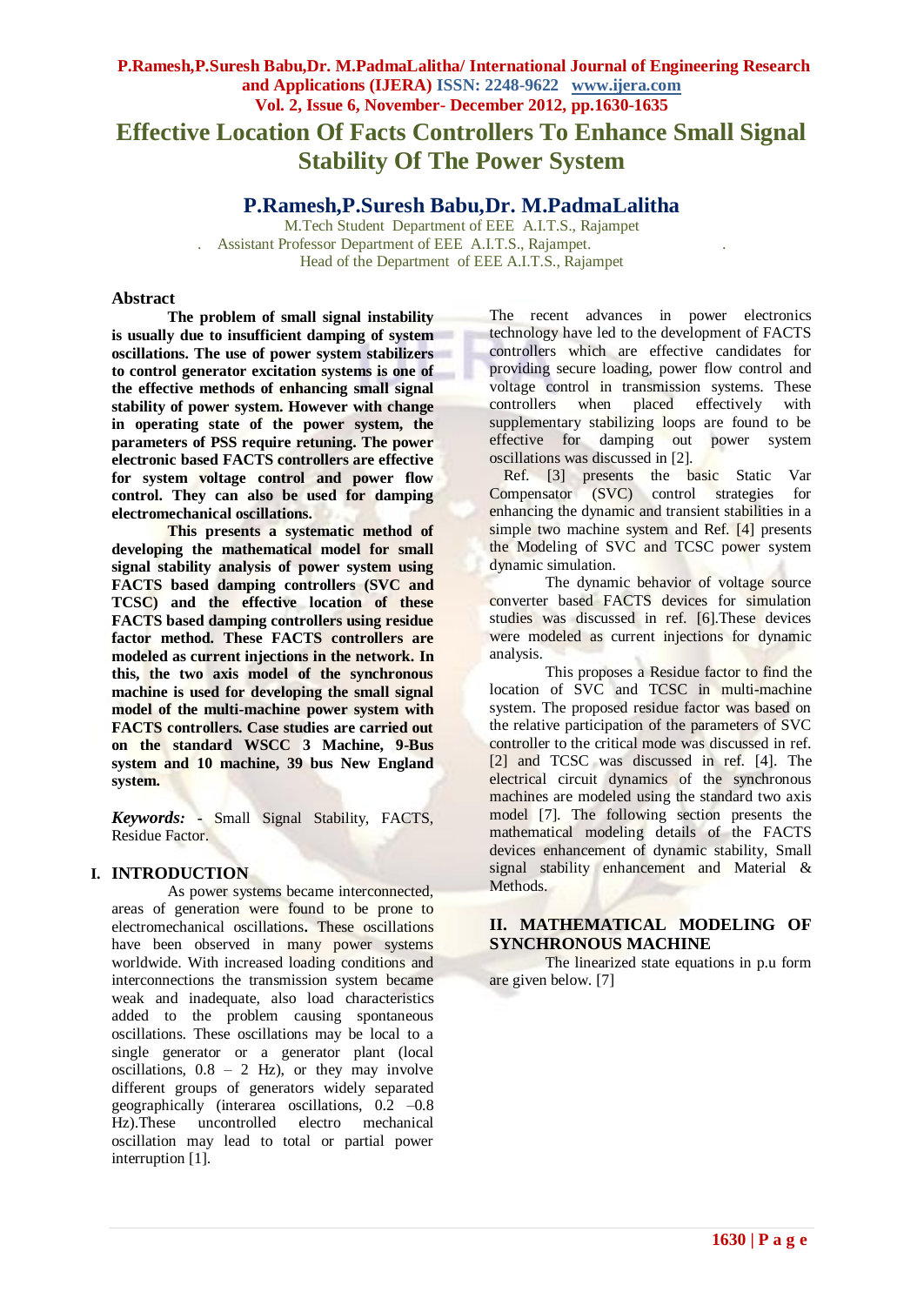# **P.Ramesh,P.Suresh Babu,Dr. M.PadmaLalitha/ International Journal of Engineering Research and Applications (IJERA) ISSN: 2248-9622 www.ijera.com Vol. 2, Issue 6, November- December 2012, pp.1630-1635 Effective Location Of Facts Controllers To Enhance Small Signal Stability Of The Power System**

**P.Ramesh,P.Suresh Babu,Dr. M.PadmaLalitha**

M.Tech Student Department of EEE A.I.T.S., Rajampet . Assistant Professor Department of EEE A.I.T.S., Rajampet. . Head of the Department of EEE A.I.T.S., Rajampet

## **Abstract**

**The problem of small signal instability is usually due to insufficient damping of system oscillations. The use of power system stabilizers to control generator excitation systems is one of the effective methods of enhancing small signal stability of power system. However with change in operating state of the power system, the parameters of PSS require retuning. The power electronic based FACTS controllers are effective for system voltage control and power flow control. They can also be used for damping electromechanical oscillations.**

**This presents a systematic method of developing the mathematical model for small signal stability analysis of power system using FACTS based damping controllers (SVC and TCSC) and the effective location of these FACTS based damping controllers using residue factor method. These FACTS controllers are modeled as current injections in the network. In this, the two axis model of the synchronous machine is used for developing the small signal model of the multi-machine power system with FACTS controllers. Case studies are carried out on the standard WSCC 3 Machine, 9-Bus system and 10 machine, 39 bus New England system.**

*Keywords:* **-** Small Signal Stability, FACTS, Residue Factor.

# **I. INTRODUCTION**

As power systems became interconnected, areas of generation were found to be prone to electromechanical oscillations**.** These oscillations have been observed in many power systems worldwide. With increased loading conditions and interconnections the transmission system became weak and inadequate, also load characteristics added to the problem causing spontaneous oscillations. These oscillations may be local to a single generator or a generator plant (local oscillations,  $0.8 - 2$  Hz), or they may involve different groups of generators widely separated geographically (interarea oscillations,  $0.2 -0.8$ ) Hz).These uncontrolled electro mechanical oscillation may lead to total or partial power interruption [1].

The recent advances in power electronics technology have led to the development of FACTS controllers which are effective candidates for providing secure loading, power flow control and voltage control in transmission systems. These controllers when placed effectively with supplementary stabilizing loops are found to be effective for damping out power system oscillations was discussed in [2].

Ref. [3] presents the basic Static Var Compensator (SVC) control strategies for enhancing the dynamic and transient stabilities in a simple two machine system and Ref. [4] presents the Modeling of SVC and TCSC power system dynamic simulation.

The dynamic behavior of voltage source converter based FACTS devices for simulation studies was discussed in ref. [6].These devices were modeled as current injections for dynamic analysis.

This proposes a Residue factor to find the location of SVC and TCSC in multi-machine system. The proposed residue factor was based on the relative participation of the parameters of SVC controller to the critical mode was discussed in ref. [2] and TCSC was discussed in ref. [4]. The electrical circuit dynamics of the synchronous machines are modeled using the standard two axis model [7]. The following section presents the mathematical modeling details of the FACTS devices enhancement of dynamic stability, Small signal stability enhancement and Material & Methods.

# **II. MATHEMATICAL MODELING OF SYNCHRONOUS MACHINE**

The linearized state equations in p.u form are given below. [7]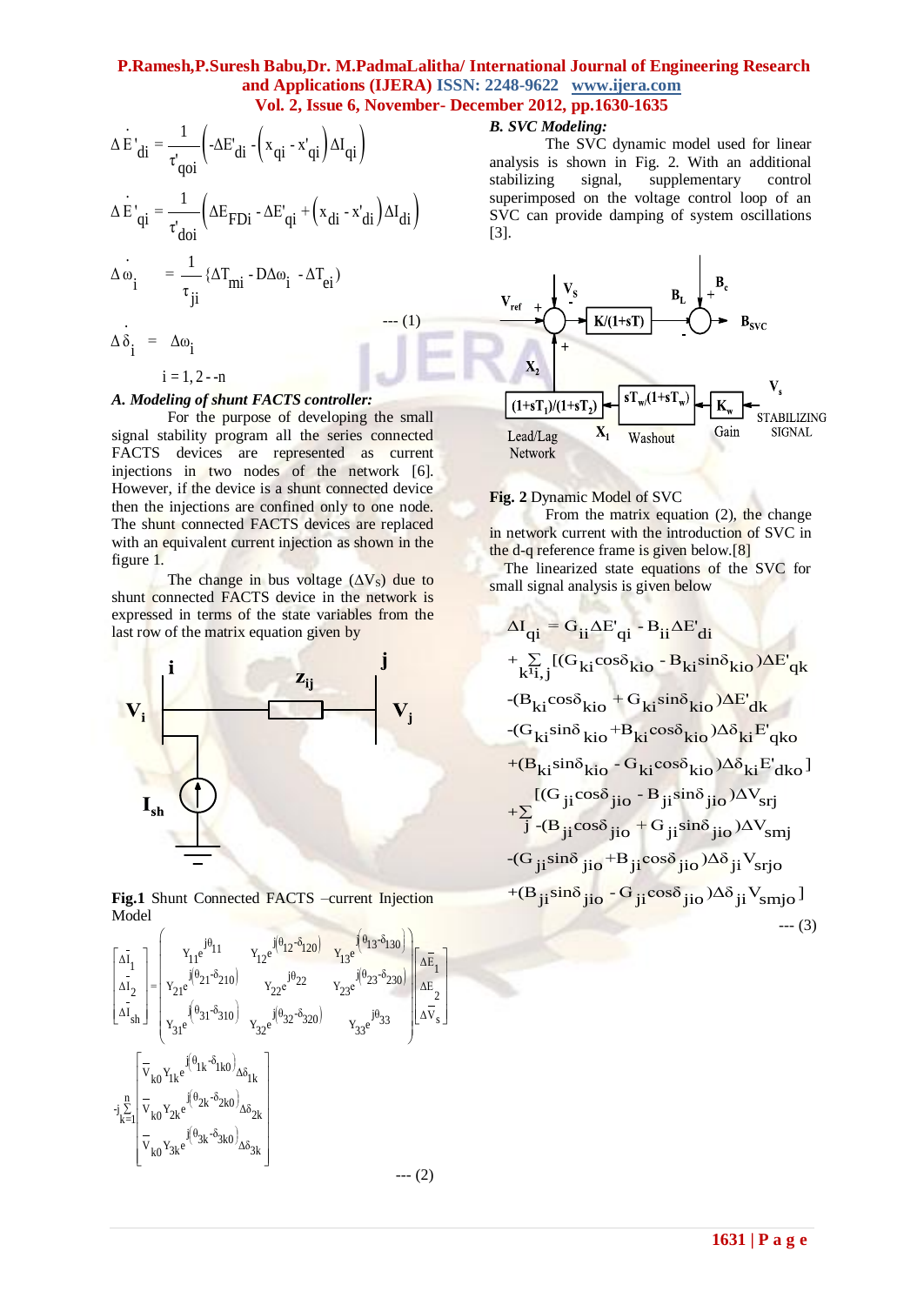$$
\Delta \dot{E}'_{di} = \frac{1}{\tau'_{qoi}} \left( -\Delta E'_{di} - (x_{qi} - x'_{qi}) \Delta I_{qi} \right)
$$
  
\n
$$
\Delta \dot{E}'_{qi} = \frac{1}{\tau'_{doi}} \left( \Delta E_{FDi} - \Delta E'_{qi} + (x_{di} - x'_{di}) \Delta I_{di} \right)
$$
  
\n
$$
\Delta \dot{\omega}_{i} = \frac{1}{\tau_{ji}} \left\{ \Delta T_{mi} - D \Delta \omega_{i} - \Delta T_{ei} \right\}
$$
  
\n
$$
\Delta \dot{\delta}_{i} = \Delta \omega_{i}
$$
 (1)

 $i = 1, 2 - n$ 

## *A. Modeling of shunt FACTS controller:*

For the purpose of developing the small signal stability program all the series connected FACTS devices are represented as current injections in two nodes of the network [6]. However, if the device is a shunt connected device then the injections are confined only to one node. The shunt connected FACTS devices are replaced with an equivalent current injection as shown in the figure 1.

The change in bus voltage  $(\Delta V_s)$  due to shunt connected FACTS device in the network is expressed in terms of the state variables from the last row of the matrix equation given by



**Fig.1** Shunt Connected FACTS –current Injection Model



# *B. SVC Modeling:*

The SVC dynamic model used for linear analysis is shown in Fig. 2. With an additional stabilizing signal, supplementary control superimposed on the voltage control loop of an SVC can provide damping of system oscillations [3].



#### **Fig. 2** Dynamic Model of SVC

From the matrix equation (2), the change in network current with the introduction of SVC in the d-q reference frame is given below.[8]

The linearized state equations of the SVC for small signal analysis is given below

$$
\Delta I_{qi} = G_{ii}\Delta E'_{qi} - B_{ii}\Delta E'_{di}
$$
\n+  $\sum_{k'i,j} [(G_{ki}cos\delta_{kio} - B_{ki}sin\delta_{kio})\Delta E'_{qk}$   
\n-( $B_{ki}cos\delta_{kio}$  +  $G_{ki}sin\delta_{kio}$ ) $\Delta E'_{dk}$   
\n-( $G_{ki}sin\delta_{kio}$  +  $B_{ki}cos\delta_{kio}$ ) $\Delta \delta_{ki} E'_{qko}$   
\n+( $B_{ki}sin\delta_{kio}$  -  $G_{ki}cos\delta_{kio}$ ) $\Delta \delta_{ki} E'_{dko}$ ]  
\n+( $B_{ji}cos\delta_{jio}$  -  $B_{ji}sin\delta_{jio}$ ) $\Delta V_{srij}$   
\n+( $B_{ji}sin\delta_{jio}$  +  $B_{ji}cos\delta_{jio}$ ) $\Delta \delta_{ji}$  V<sub>srio</sub>  
\n+( $B_{ji}sin\delta_{jio}$  -  $G_{ji}cos\delta_{jio}$ ) $\Delta \delta_{ji}$  V<sub>srio</sub>]  
\n-( $G_{ji}sin\delta_{jio}$  -  $G_{ji}cos\delta_{jio}$ ) $\Delta \delta_{ji}$  V<sub>smio</sub>]  
\n---(3)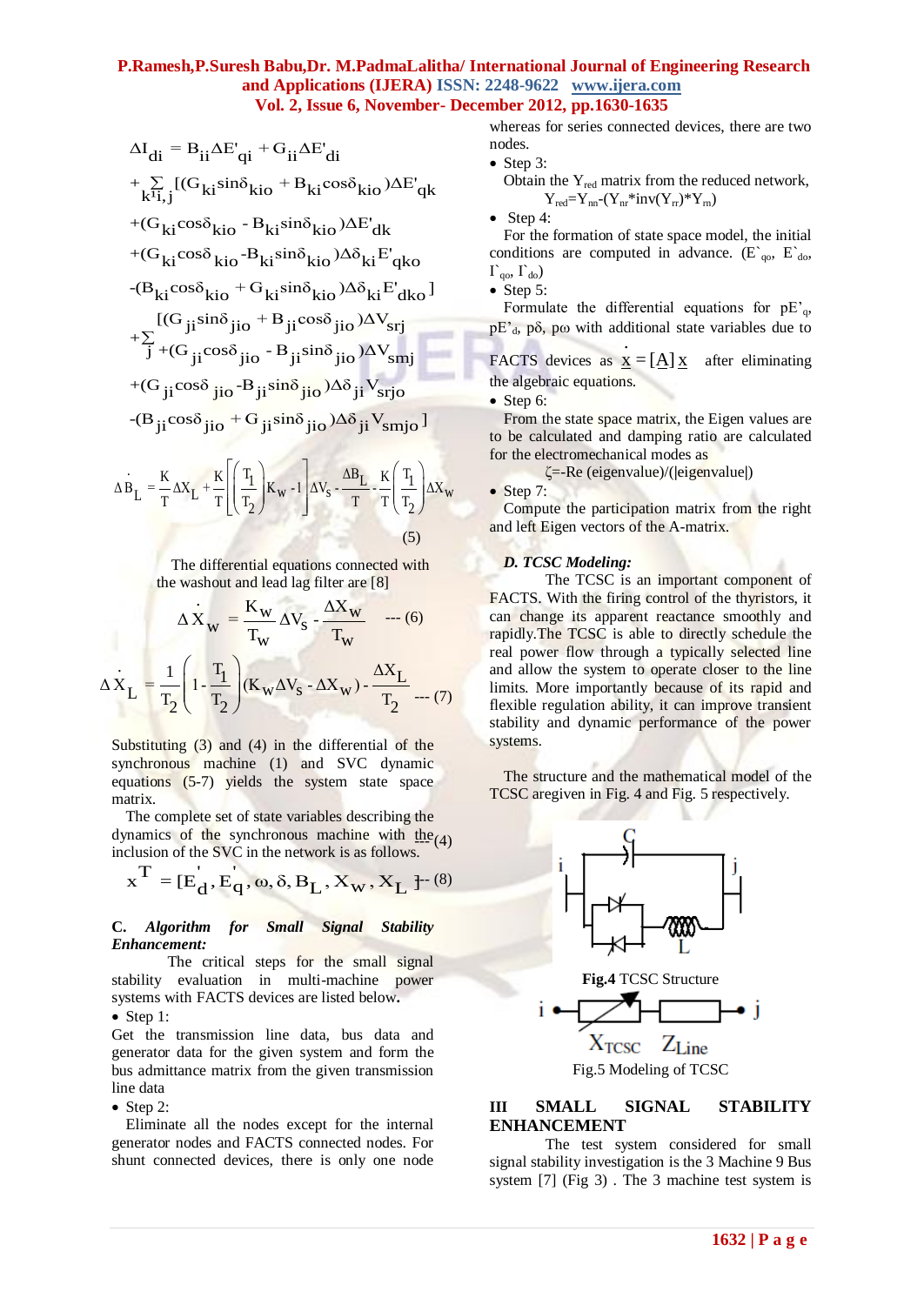$$
\Delta I_{di} = B_{ii} \Delta E'_{qi} + G_{ii} \Delta E'_{di}
$$
\n
$$
+ \sum_{k^{i}i,j} [(G_{ki} sin\delta_{kio} + B_{ki} cos\delta_{kio})\Delta E'_{qk}
$$
\n
$$
+ (G_{ki} cos\delta_{kio} - B_{ki} sin\delta_{kio})\Delta E'_{dk}
$$
\n
$$
+ (G_{ki} cos\delta_{kio} - B_{ki} sin\delta_{kio})\Delta \delta_{ki} E'_{qko}
$$
\n
$$
- (B_{ki} cos\delta_{kio} + G_{ki} sin\delta_{kio})\Delta \delta_{ki} E'_{dko}]
$$
\n
$$
+ \sum_{j} [(G_{ji} sin\delta_{jio} + B_{ji} cos\delta_{jio})\Delta V_{srij}
$$
\n
$$
+ \sum_{j} [(G_{ji} cos\delta_{jio} - B_{ji} sin\delta_{jio})\Delta V_{smj}]
$$
\n
$$
+ (G_{ji} cos\delta_{jio} - B_{ji} sin\delta_{jio})\Delta \delta_{ji} V_{srip}
$$
\n
$$
- (B_{ji} cos\delta_{jio} + G_{ji} sin\delta_{jio})\Delta \delta_{ji} V_{smpo}]
$$

$$
\Delta \dot{B}_{L} = \frac{K}{T} \Delta X_{L} + \frac{K}{T} \left[ \left( \frac{T_{1}}{T_{2}} \right) K_{w} - 1 \right] \Delta V_{s} - \frac{\Delta B_{L}}{T} - \frac{K}{T} \left( \frac{T_{1}}{T_{2}} \right) \Delta X_{w}
$$
\n(5)

The differential equations connected with the washout and lead lag filter are [8]

$$
\Delta \dot{X}_{w} = \frac{K_{w}}{T_{w}} \Delta V_{s} - \frac{\Delta X_{w}}{T_{w}} \quad \text{--- (6)}
$$

$$
\Delta \dot{X}_{L} = \frac{1}{T_{2}} \left( 1 - \frac{T_{1}}{T_{2}} \right) (K_{w} \Delta V_{s} - \Delta X_{w}) - \frac{\Delta X_{L}}{T_{2}} \quad \text{--- (7)}
$$

Substituting (3) and (4) in the differential of the synchronous machine (1) and SVC dynamic equations (5-7) yields the system state space matrix.

The complete set of state variables describing the dynamics of the synchronous machine with  $\text{the}_{(4)}$ 

inclusion of the SVC in the network is as follows.  

$$
x^T = [E_d, E_q, \omega, \delta, B_L, X_w, X_L]^{-(8)}
$$

#### **C.** *Algorithm for Small Signal Stability Enhancement:*

The critical steps for the small signal stability evaluation in multi-machine power systems with FACTS devices are listed below**.**

• Step 1:

Get the transmission line data, bus data and generator data for the given system and form the bus admittance matrix from the given transmission line data

• Step 2:

Eliminate all the nodes except for the internal generator nodes and FACTS connected nodes. For shunt connected devices, there is only one node

whereas for series connected devices, there are two nodes.

 Step 3: Obtain the  $Y_{\text{red}}$  matrix from the reduced network,  $Y_{\text{red}}=Y_{\text{nn}}-(Y_{\text{nr}}*\text{inv}(Y_{\text{rr}})*Y_{\text{rn}})$ 

 $\bullet$  Step 4:

For the formation of state space model, the initial conditions are computed in advance.  $(E_{q0}, E_{d0},$  $\Gamma_{\text{qo}}, \Gamma_{\text{do}}$ 

• Step 5:

Formulate the differential equations for  $pE_{q}$ ,  $pE_d$ ,  $p\delta$ ,  $p\omega$  with additional state variables due to .

FACTS devices as  $\underline{x} = [\underline{A}] \underline{x}$  after eliminating the algebraic equations.

 $\bullet$  Step 6:

From the state space matrix, the Eigen values are to be calculated and damping ratio are calculated for the electromechanical modes as

ζ=-Re (eigenvalue)/(**|**eigenvalue**|**)

Step 7:

Compute the participation matrix from the right and left Eigen vectors of the A-matrix.

## *D. TCSC Modeling:*

The TCSC is an important component of FACTS. With the firing control of the thyristors, it can change its apparent reactance smoothly and rapidly.The TCSC is able to directly schedule the real power flow through a typically selected line and allow the system to operate closer to the line limits. More importantly because of its rapid and flexible regulation ability, it can improve transient stability and dynamic performance of the power systems.

The structure and the mathematical model of the TCSC aregiven in Fig. 4 and Fig. 5 respectively.





# **III SMALL SIGNAL STABILITY ENHANCEMENT**

The test system considered for small signal stability investigation is the 3 Machine 9 Bus system [7] (Fig 3) . The 3 machine test system is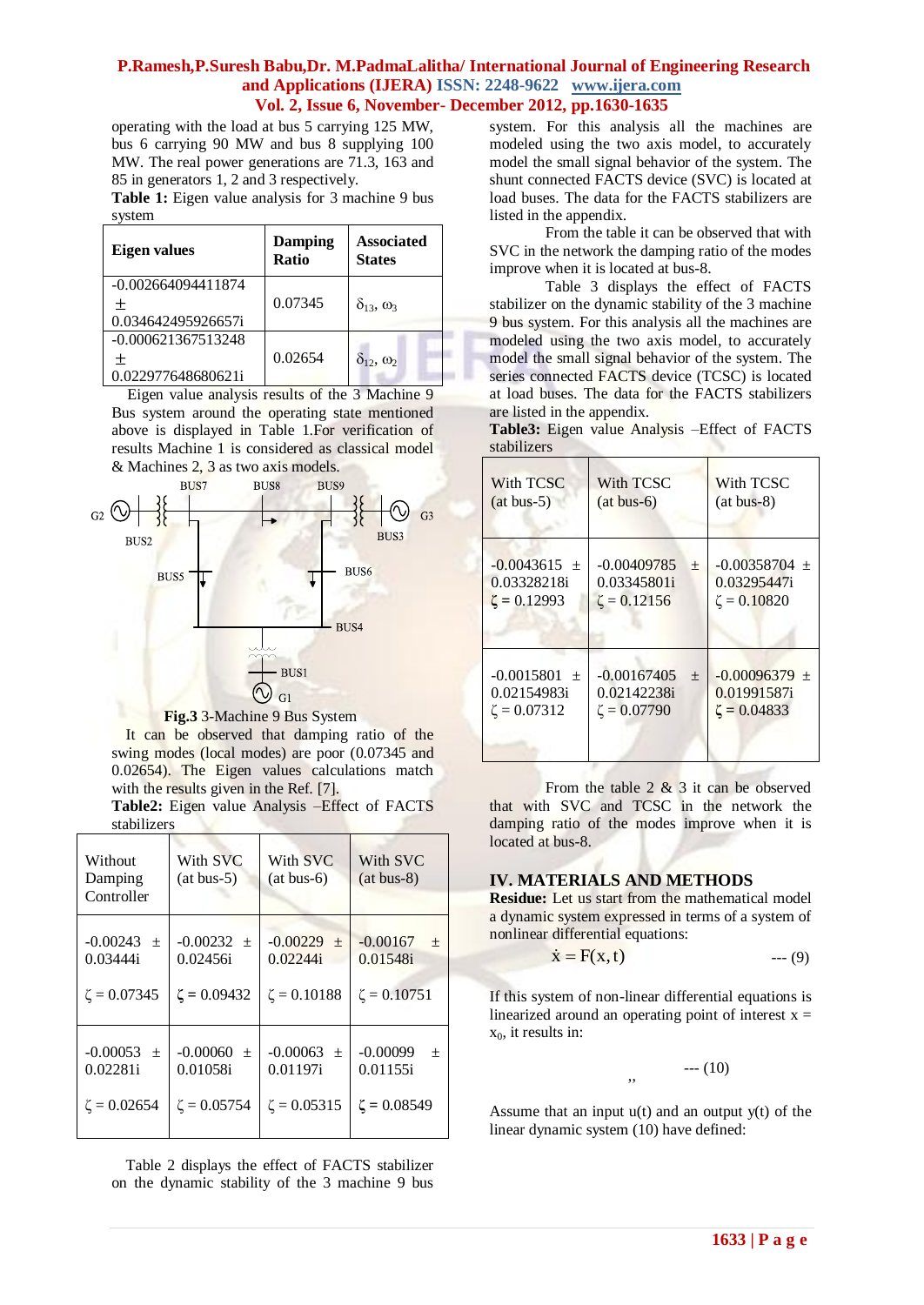operating with the load at bus 5 carrying 125 MW, bus 6 carrying 90 MW and bus 8 supplying 100 MW. The real power generations are 71.3, 163 and 85 in generators 1, 2 and 3 respectively.

**Table 1:** Eigen value analysis for 3 machine 9 bus system

| Eigen values         | <b>Damping</b><br><b>Ratio</b> | <b>Associated</b><br><b>States</b> |
|----------------------|--------------------------------|------------------------------------|
| $-0.002664094411874$ |                                |                                    |
| 土                    | 0.07345                        | $\delta_{13}$ , $\omega_3$         |
| 0.034642495926657i   |                                |                                    |
| $-0.000621367513248$ |                                |                                    |
| $^+$                 | 0.02654                        | $\delta_{12}, \omega_2$            |
| 0.022977648680621i   |                                |                                    |

 Eigen value analysis results of the 3 Machine 9 Bus system around the operating state mentioned above is displayed in Table 1.For verification of results Machine 1 is considered as classical model & Machines 2, 3 as two axis models.





It can be observed that damping ratio of the swing modes (local modes) are poor (0.07345 and 0.02654). The Eigen values calculations match with the results given in the Ref. [7].

Without Damping Controller With SVC  $(at bus-5)$ With SVC (at bus-6) With SVC (at bus-8)  $-0.00243 \pm$ 0.03444i  $\zeta$  = 0.07345  $-0.00232 \pm$ 0.02456i  $\zeta$  = 0.09432  $-0.00229 \pm$ 0.02244i  $ζ = 0.10188$  $-0.00167 \pm$ 0.01548i  $\zeta = 0.10751$  $-0.00053 \pm$ 0.02281i  $ζ = 0.02654$  $-0.00060 \pm$ 0.01058i  $ζ = 0.05754$  $-0.00063 \pm$ 0.01197i  $ζ = 0.05315$  $-0.00099 \pm$ 0.01155i  $\zeta = 0.08549$ 

**Table2:** Eigen value Analysis –Effect of FACTS stabilizers

Table 2 displays the effect of FACTS stabilizer on the dynamic stability of the 3 machine 9 bus system. For this analysis all the machines are modeled using the two axis model, to accurately model the small signal behavior of the system. The shunt connected FACTS device (SVC) is located at load buses. The data for the FACTS stabilizers are listed in the appendix.

From the table it can be observed that with SVC in the network the damping ratio of the modes improve when it is located at bus-8.

Table 3 displays the effect of FACTS stabilizer on the dynamic stability of the 3 machine 9 bus system. For this analysis all the machines are modeled using the two axis model, to accurately model the small signal behavior of the system. The series connected FACTS device (TCSC) is located at load buses. The data for the FACTS stabilizers are listed in the appendix.

**Table3:** Eigen value Analysis –Effect of FACTS stabilizers

| With TCSC<br>$(at bus-5)$                            | With TCSC<br>$(at bus-6)$                                | With TCSC<br>$(at bus-8)$                             |  |
|------------------------------------------------------|----------------------------------------------------------|-------------------------------------------------------|--|
| $-0.0043615 \pm$<br>0.03328218i<br>$\zeta = 0.12993$ | $-0.00409785$<br>$+$<br>0.03345801i<br>$\zeta = 0.12156$ | $-0.00358704 \pm$<br>0.03295447i<br>$\zeta = 0.10820$ |  |
| $-0.0015801 +$<br>0.02154983i<br>$\zeta = 0.07312$   | $-0.00167405$<br>$+$<br>0.02142238i<br>$\zeta = 0.07790$ | $-0.00096379 \pm$<br>0.01991587i<br>$\zeta = 0.04833$ |  |

From the table  $2 \& 3$  it can be observed that with SVC and TCSC in the network the damping ratio of the modes improve when it is located at bus-8.

# **IV. MATERIALS AND METHODS**

**Residue:** Let us start from the mathematical model a dynamic system expressed in terms of a system of nonlinear differential equations:

$$
\dot{\mathbf{x}} = \mathbf{F}(\mathbf{x}, \mathbf{t}) \tag{9}
$$

If this system of non-linear differential equations is linearized around an operating point of interest  $x =$  $x_0$ , it results in:

 $--- (10)$ 

Assume that an input  $u(t)$  and an output  $v(t)$  of the linear dynamic system (10) have defined:

,,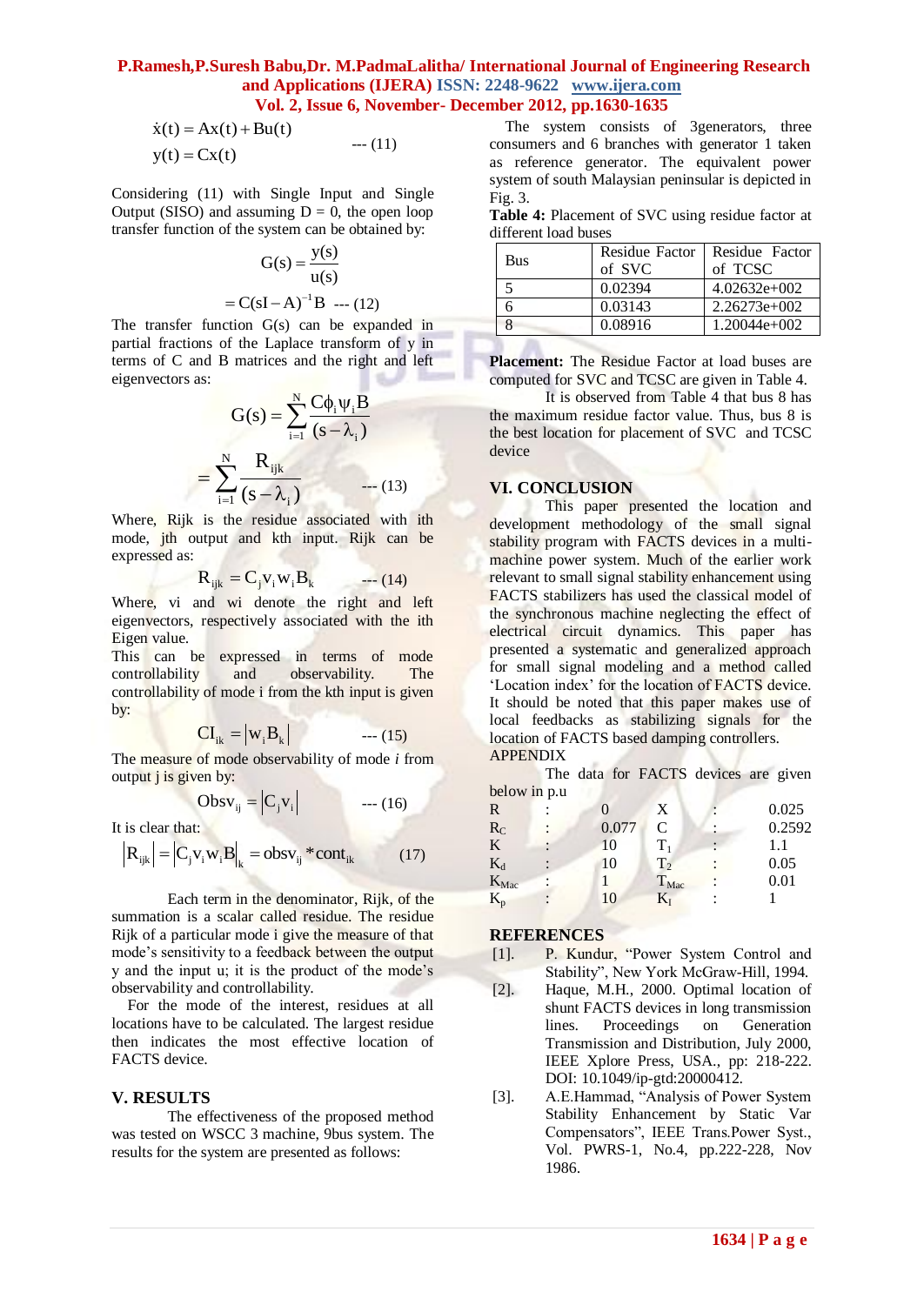$$
\dot{x}(t) = Ax(t) + Bu(t) \ny(t) = Cx(t) \t--- (11)
$$

Considering (11) with Single Input and Single Output (SISO) and assuming  $D = 0$ , the open loop transfer function of the system can be obtained by:

$$
G(s) = \frac{y(s)}{u(s)}
$$
  
= C(sI – A)<sup>-1</sup>B -- (12)

The transfer function G(s) can be expanded in partial fractions of the Laplace transform of y in terms of C and B matrices and the right and left eigenvectors as:

$$
G(s) = \sum_{i=1}^{N} \frac{C\phi_i \psi_i B}{(s - \lambda_i)}
$$

$$
= \sum_{i=1}^{N} \frac{R_{ijk}}{(s - \lambda_i)} \qquad \qquad (13)
$$

Where, Rijk is the residue associated with ith mode, jth output and kth input. Rijk can be expressed as:

$$
\mathbf{R}_{ijk} = \mathbf{C}_j \mathbf{v}_i \mathbf{w}_i \mathbf{B}_k \qquad \qquad (14)
$$

Where, vi and wi denote the right and left eigenvectors, respectively associated with the ith Eigen value.

This can be expressed in terms of mode controllability and observability. The controllability of mode i from the kth input is given by:

$$
CI_{ik} = |w_i B_k| \qquad \qquad \text{--- (15)}
$$

The measure of mode observability of mode *i* from output  $\mathbf{j}$  is given by:

$$
Obsv_{ij} = \left|C_j v_i\right| \qquad \qquad \text{---} \ (16)
$$

It is clear that:

$$
\left| \mathbf{R}_{ijk} \right| = \left| \mathbf{C}_{j} \mathbf{v}_{i} \mathbf{w}_{i} \mathbf{B} \right|_{k} = \mathbf{obsv}_{ij} \cdot \text{cont}_{ik} \tag{17}
$$

 Each term in the denominator, Rijk, of the summation is a scalar called residue. The residue Rijk of a particular mode i give the measure of that mode"s sensitivity to a feedback between the output y and the input u; it is the product of the mode"s observability and controllability.

 For the mode of the interest, residues at all locations have to be calculated. The largest residue then indicates the most effective location of FACTS device.

## **V. RESULTS**

The effectiveness of the proposed method was tested on WSCC 3 machine, 9bus system. The results for the system are presented as follows:

 The system consists of 3generators, three consumers and 6 branches with generator 1 taken as reference generator. The equivalent power system of south Malaysian peninsular is depicted in Fig. 3.

**Table 4:** Placement of SVC using residue factor at different load buses

| <b>Bus</b> | <b>Residue Factor</b> | Residue Factor |
|------------|-----------------------|----------------|
|            | of SVC                | of TCSC        |
|            | 0.02394               | $4.02632e+002$ |
|            | 0.03143               | $2.26273e+002$ |
|            | 0.08916               | 1.20044e+002   |

**Placement:** The Residue Factor at load buses are computed for SVC and TCSC are given in Table 4.

It is observed from Table 4 that bus 8 has the maximum residue factor value. Thus, bus 8 is the best location for placement of SVC and TCSC device

#### **VI. CONCLUSION**

This paper presented the location and development methodology of the small signal stability program with FACTS devices in a multimachine power system. Much of the earlier work relevant to small signal stability enhancement using FACTS stabilizers has used the classical model of the synchronous machine neglecting the effect of electrical circuit dynamics. This paper has presented a systematic and generalized approach for small signal modeling and a method called "Location index" for the location of FACTS device. It should be noted that this paper makes use of local feedbacks as stabilizing signals for the location of FACTS based damping controllers. APPENDIX

The data for FACTS devices are given  $below$  in  $p$  u

| $0.010$ $\mu$ and $\mu$ . |       |                  |        |
|---------------------------|-------|------------------|--------|
| R                         |       | X                | 0.025  |
| $R_C$                     | 0.077 | C                | 0.2592 |
| K                         | 10    | $T_1$            | 1.1    |
| $K_d$                     | 10    | T <sub>2</sub>   | 0.05   |
| K <sub>Mac</sub>          |       | T <sub>Mac</sub> | 0.01   |
| $K_{p}$                   | 10    | $\rm K_I$        |        |
|                           |       |                  |        |

#### **REFERENCES**

- [1]. P. Kundur, "Power System Control and Stability", New York McGraw-Hill, 1994.
- [2]. Haque, M.H., 2000. Optimal location of shunt FACTS devices in long transmission lines. Proceedings on Generation Transmission and Distribution, July 2000, IEEE Xplore Press, USA., pp: 218-222. DOI: 10.1049/ip-gtd:20000412.
- [3]. A.E.Hammad, "Analysis of Power System Stability Enhancement by Static Var Compensators", IEEE Trans.Power Syst., Vol. PWRS-1, No.4, pp.222-228, Nov 1986.